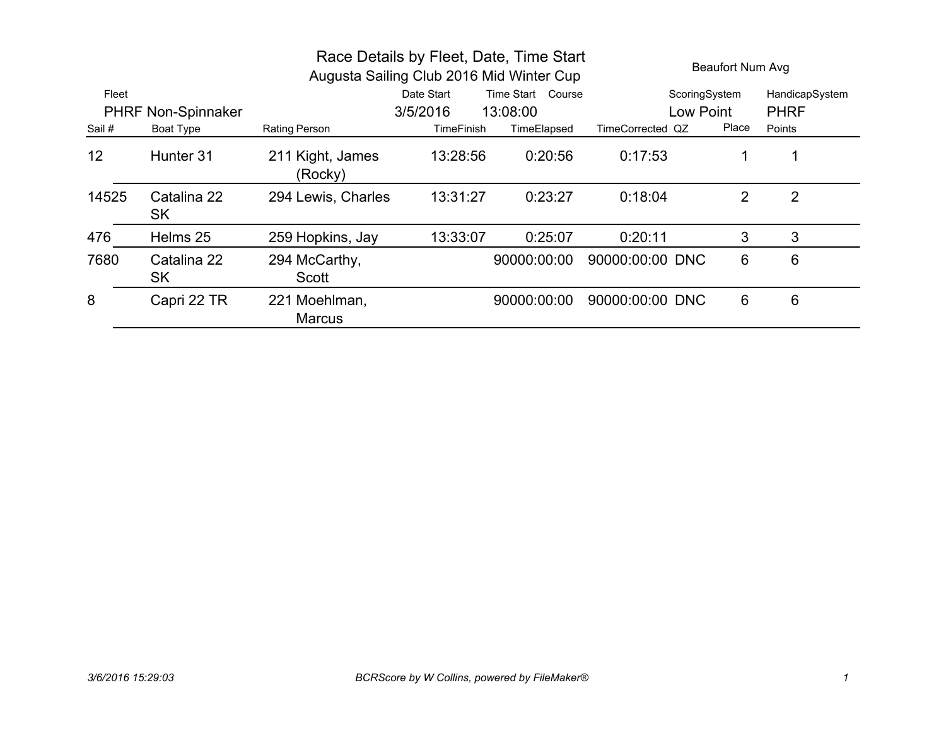| Race Details by Fleet, Date, Time Start<br>Augusta Sailing Club 2016 Mid Winter Cup |                           |                                |                   |                   | <b>Beaufort Num Avg</b> |                |                |
|-------------------------------------------------------------------------------------|---------------------------|--------------------------------|-------------------|-------------------|-------------------------|----------------|----------------|
| Fleet                                                                               |                           |                                | Date Start        | Time Start Course | ScoringSystem           |                | HandicapSystem |
|                                                                                     | <b>PHRF Non-Spinnaker</b> |                                | 3/5/2016          | 13:08:00          | Low Point               |                | <b>PHRF</b>    |
| Sail #                                                                              | Boat Type                 | <b>Rating Person</b>           | <b>TimeFinish</b> | TimeElapsed       | TimeCorrected QZ        | Place          | Points         |
| 12                                                                                  | Hunter 31                 | 211 Kight, James<br>(Rocky)    | 13:28:56          | 0:20:56           | 0:17:53                 | 1              |                |
| 14525                                                                               | Catalina 22<br><b>SK</b>  | 294 Lewis, Charles             | 13:31:27          | 0:23:27           | 0:18:04                 | $\overline{2}$ | $\overline{2}$ |
| 476                                                                                 | Helms 25                  | 259 Hopkins, Jay               | 13:33:07          | 0:25:07           | 0:20:11                 | 3              | 3              |
| 7680                                                                                | Catalina 22<br><b>SK</b>  | 294 McCarthy,<br>Scott         |                   | 90000:00:00       | 90000:00:00 DNC         | 6              | 6              |
| 8                                                                                   | Capri 22 TR               | 221 Moehlman,<br><b>Marcus</b> |                   | 90000:00:00       | 90000:00:00 DNC         | 6              | 6              |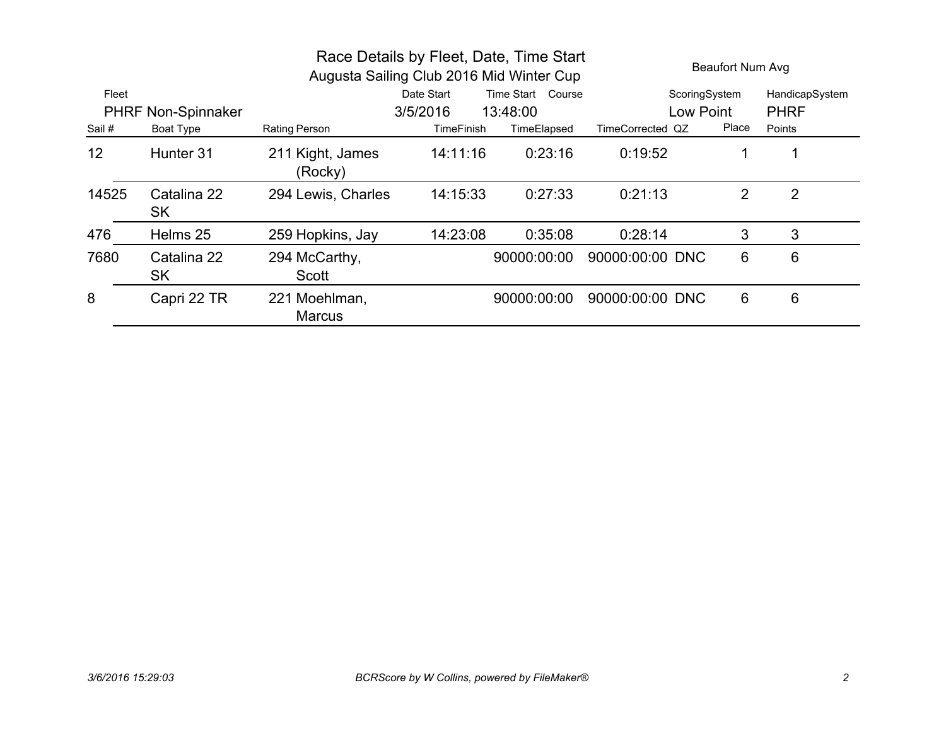| Race Details by Fleet, Date, Time Start<br>Augusta Sailing Club 2016 Mid Winter Cup |                           |                                |            |                   | <b>Beaufort Num Avg</b> |                |                |
|-------------------------------------------------------------------------------------|---------------------------|--------------------------------|------------|-------------------|-------------------------|----------------|----------------|
| Fleet                                                                               |                           |                                | Date Start | Time Start Course | ScoringSystem           |                | HandicapSystem |
|                                                                                     | <b>PHRF Non-Spinnaker</b> |                                | 3/5/2016   | 13:48:00          | Low Point               |                | <b>PHRF</b>    |
| Sail #                                                                              | Boat Type                 | <b>Rating Person</b>           | TimeFinish | TimeElapsed       | TimeCorrected QZ        | Place          | Points         |
| 12                                                                                  | Hunter 31                 | 211 Kight, James<br>(Rocky)    | 14:11:16   | 0:23:16           | 0:19:52                 |                | 1              |
| 14525                                                                               | Catalina 22<br><b>SK</b>  | 294 Lewis, Charles             | 14:15:33   | 0:27:33           | 0:21:13                 | $\overline{2}$ | $\overline{2}$ |
| 476                                                                                 | Helms 25                  | 259 Hopkins, Jay               | 14:23:08   | 0:35:08           | 0:28:14                 | 3              | 3              |
| 7680                                                                                | Catalina 22<br>SK         | 294 McCarthy,<br>Scott         |            | 90000:00:00       | 90000:00:00 DNC         | 6              | 6              |
| 8                                                                                   | Capri 22 TR               | 221 Moehlman,<br><b>Marcus</b> |            | 90000:00:00       | 90000:00:00 DNC         | 6              | 6              |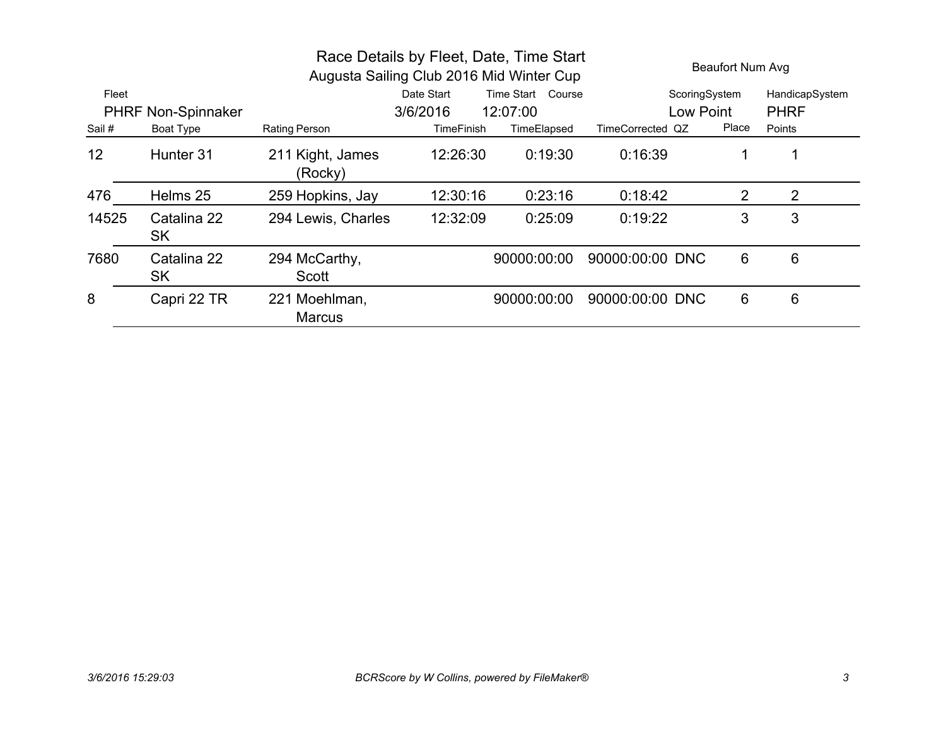| Race Details by Fleet, Date, Time Start<br>Augusta Sailing Club 2016 Mid Winter Cup |                           |                                |                   |                   |                  | Beaufort Num Avg |                |  |
|-------------------------------------------------------------------------------------|---------------------------|--------------------------------|-------------------|-------------------|------------------|------------------|----------------|--|
| Fleet                                                                               |                           |                                | Date Start        | Time Start Course | ScoringSystem    |                  | HandicapSystem |  |
|                                                                                     | <b>PHRF Non-Spinnaker</b> |                                | 3/6/2016          | 12:07:00          | Low Point        |                  | <b>PHRF</b>    |  |
| Sail #                                                                              | Boat Type                 | <b>Rating Person</b>           | <b>TimeFinish</b> | TimeElapsed       | TimeCorrected QZ | Place            | Points         |  |
| 12                                                                                  | Hunter 31                 | 211 Kight, James<br>(Rocky)    | 12:26:30          | 0:19:30           | 0:16:39          | 1                |                |  |
| 476                                                                                 | Helms 25                  | 259 Hopkins, Jay               | 12:30:16          | 0:23:16           | 0:18:42          | 2                | 2              |  |
| 14525                                                                               | Catalina 22<br><b>SK</b>  | 294 Lewis, Charles             | 12:32:09          | 0:25:09           | 0:19:22          | 3                | 3              |  |
| 7680                                                                                | Catalina 22<br><b>SK</b>  | 294 McCarthy,<br>Scott         |                   | 90000:00:00       | 90000:00:00 DNC  | 6                | 6              |  |
| 8                                                                                   | Capri 22 TR               | 221 Moehlman,<br><b>Marcus</b> |                   | 90000:00:00       | 90000:00:00 DNC  | 6                | 6              |  |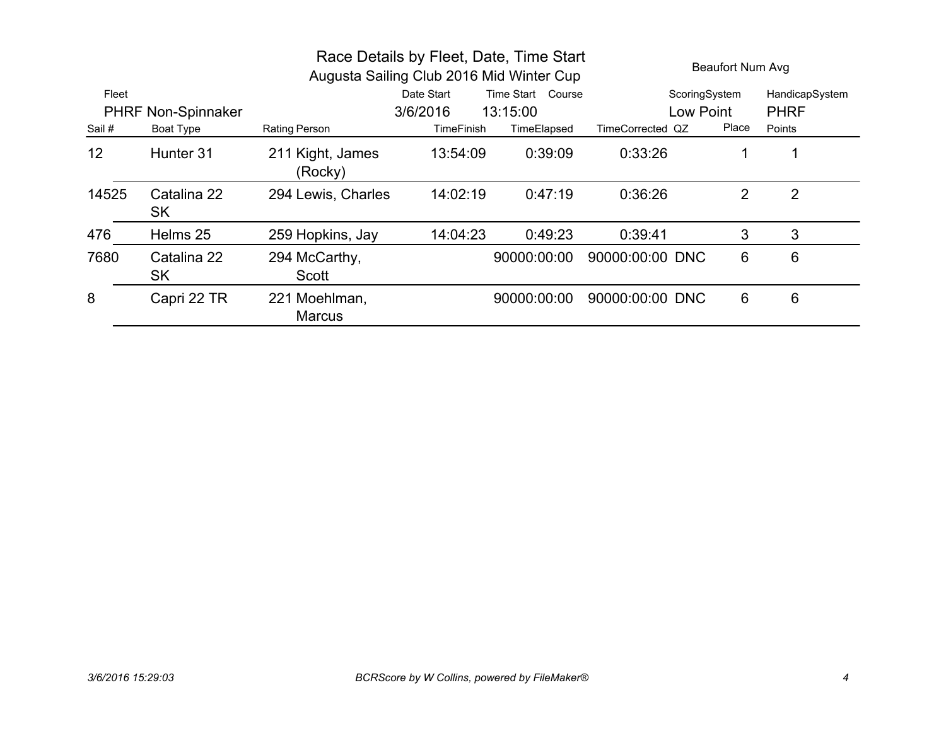| Race Details by Fleet, Date, Time Start<br>Augusta Sailing Club 2016 Mid Winter Cup |                           |                                |            |                   | <b>Beaufort Num Avg</b> |                |                |
|-------------------------------------------------------------------------------------|---------------------------|--------------------------------|------------|-------------------|-------------------------|----------------|----------------|
| Fleet                                                                               |                           |                                | Date Start | Time Start Course | ScoringSystem           |                | HandicapSystem |
|                                                                                     | <b>PHRF Non-Spinnaker</b> |                                | 3/6/2016   | 13:15:00          | Low Point               |                | <b>PHRF</b>    |
| Sail #                                                                              | Boat Type                 | Rating Person                  | TimeFinish | TimeElapsed       | TimeCorrected QZ        | Place          | Points         |
| 12                                                                                  | Hunter 31                 | 211 Kight, James<br>(Rocky)    | 13:54:09   | 0:39:09           | 0:33:26                 |                | 1              |
| 14525                                                                               | Catalina 22<br><b>SK</b>  | 294 Lewis, Charles             | 14:02:19   | 0:47:19           | 0:36:26                 | $\overline{2}$ | $\overline{2}$ |
| 476                                                                                 | Helms 25                  | 259 Hopkins, Jay               | 14:04:23   | 0:49:23           | 0:39:41                 | 3              | 3              |
| 7680                                                                                | Catalina 22<br>SK         | 294 McCarthy,<br>Scott         |            | 90000:00:00       | 90000:00:00 DNC         | 6              | 6              |
| 8                                                                                   | Capri 22 TR               | 221 Moehlman,<br><b>Marcus</b> |            | 90000:00:00       | 90000:00:00 DNC         | 6              | 6              |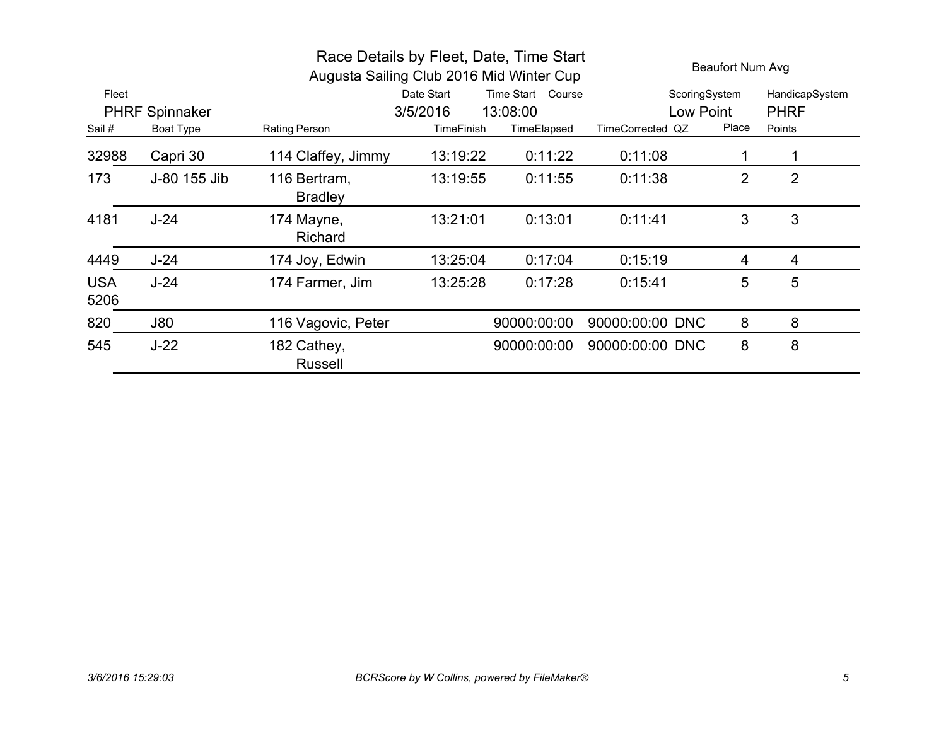|                    |                       |                                | Race Details by Fleet, Date, Time Start<br>Augusta Sailing Club 2016 Mid Winter Cup |                   |                  | Beaufort Num Avg |                |  |
|--------------------|-----------------------|--------------------------------|-------------------------------------------------------------------------------------|-------------------|------------------|------------------|----------------|--|
| Fleet              |                       |                                | Date Start                                                                          | Time Start Course | ScoringSystem    |                  | HandicapSystem |  |
|                    | <b>PHRF Spinnaker</b> |                                | 3/5/2016                                                                            | 13:08:00          | Low Point        |                  | <b>PHRF</b>    |  |
| Sail #             | <b>Boat Type</b>      | <b>Rating Person</b>           | <b>TimeFinish</b>                                                                   | TimeElapsed       | TimeCorrected QZ | Place            | Points         |  |
| 32988              | Capri 30              | 114 Claffey, Jimmy             | 13:19:22                                                                            | 0:11:22           | 0:11:08          |                  |                |  |
| 173                | J-80 155 Jib          | 116 Bertram,<br><b>Bradley</b> | 13:19:55                                                                            | 0:11:55           | 0:11:38          | 2                | $\overline{2}$ |  |
| 4181               | $J-24$                | 174 Mayne,<br><b>Richard</b>   | 13:21:01                                                                            | 0:13:01           | 0:11:41          | 3                | 3              |  |
| 4449               | $J-24$                | 174 Joy, Edwin                 | 13:25:04                                                                            | 0:17:04           | 0:15:19          | 4                | 4              |  |
| <b>USA</b><br>5206 | $J-24$                | 174 Farmer, Jim                | 13:25:28                                                                            | 0:17:28           | 0:15:41          | 5                | 5              |  |
| 820                | J80                   | 116 Vagovic, Peter             |                                                                                     | 90000:00:00       | 90000:00:00 DNC  | 8                | 8              |  |
| 545                | $J-22$                | 182 Cathey,<br><b>Russell</b>  |                                                                                     | 90000:00:00       | 90000:00:00 DNC  | 8                | 8              |  |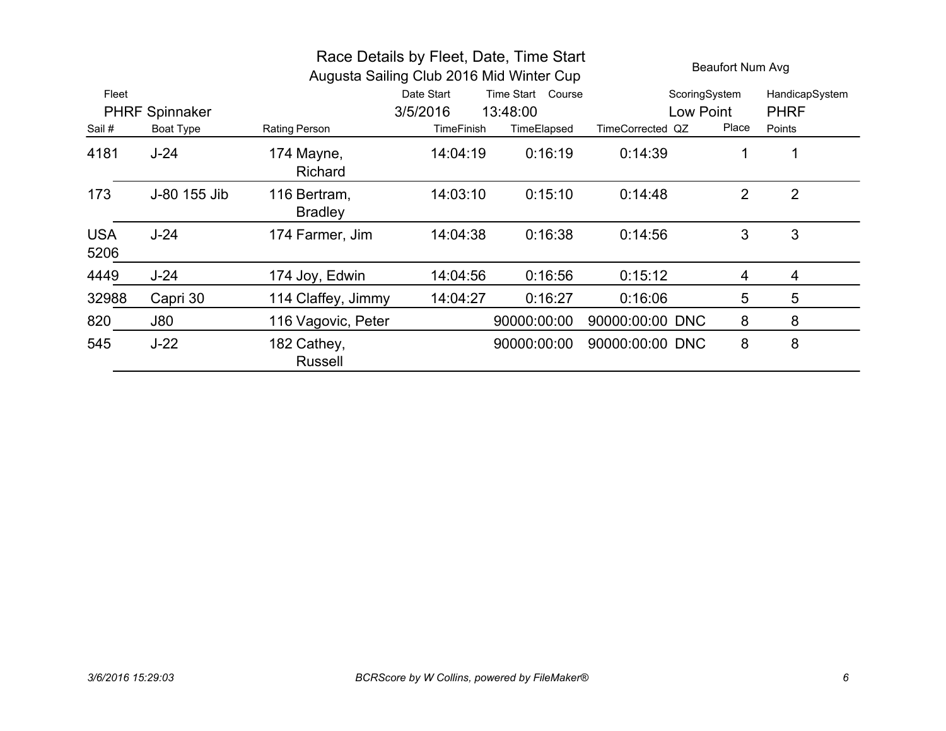| Race Details by Fleet, Date, Time Start<br>Augusta Sailing Club 2016 Mid Winter Cup |                       |                                |                   |                   |                  | Beaufort Num Avg |                |  |
|-------------------------------------------------------------------------------------|-----------------------|--------------------------------|-------------------|-------------------|------------------|------------------|----------------|--|
| Fleet                                                                               |                       |                                | Date Start        | Time Start Course | ScoringSystem    |                  | HandicapSystem |  |
|                                                                                     | <b>PHRF Spinnaker</b> |                                | 3/5/2016          | 13:48:00          | Low Point        |                  | <b>PHRF</b>    |  |
| Sail #                                                                              | Boat Type             | Rating Person                  | <b>TimeFinish</b> | TimeElapsed       | TimeCorrected QZ | Place            | Points         |  |
| 4181                                                                                | $J-24$                | 174 Mayne,<br>Richard          | 14:04:19          | 0:16:19           | 0:14:39          | 1                |                |  |
| 173                                                                                 | J-80 155 Jib          | 116 Bertram,<br><b>Bradley</b> | 14:03:10          | 0:15:10           | 0:14:48          | $\overline{2}$   | $\overline{2}$ |  |
| <b>USA</b><br>5206                                                                  | $J-24$                | 174 Farmer, Jim                | 14:04:38          | 0:16:38           | 0:14:56          | 3                | 3              |  |
| 4449                                                                                | $J-24$                | 174 Joy, Edwin                 | 14:04:56          | 0:16:56           | 0:15:12          | 4                | $\overline{4}$ |  |
| 32988                                                                               | Capri 30              | 114 Claffey, Jimmy             | 14:04:27          | 0:16:27           | 0:16:06          | 5                | 5              |  |
| 820                                                                                 | J80                   | 116 Vagovic, Peter             |                   | 90000:00:00       | 90000:00:00 DNC  | 8                | 8              |  |
| 545                                                                                 | $J-22$                | 182 Cathey,<br><b>Russell</b>  |                   | 90000:00:00       | 90000:00:00 DNC  | 8                | 8              |  |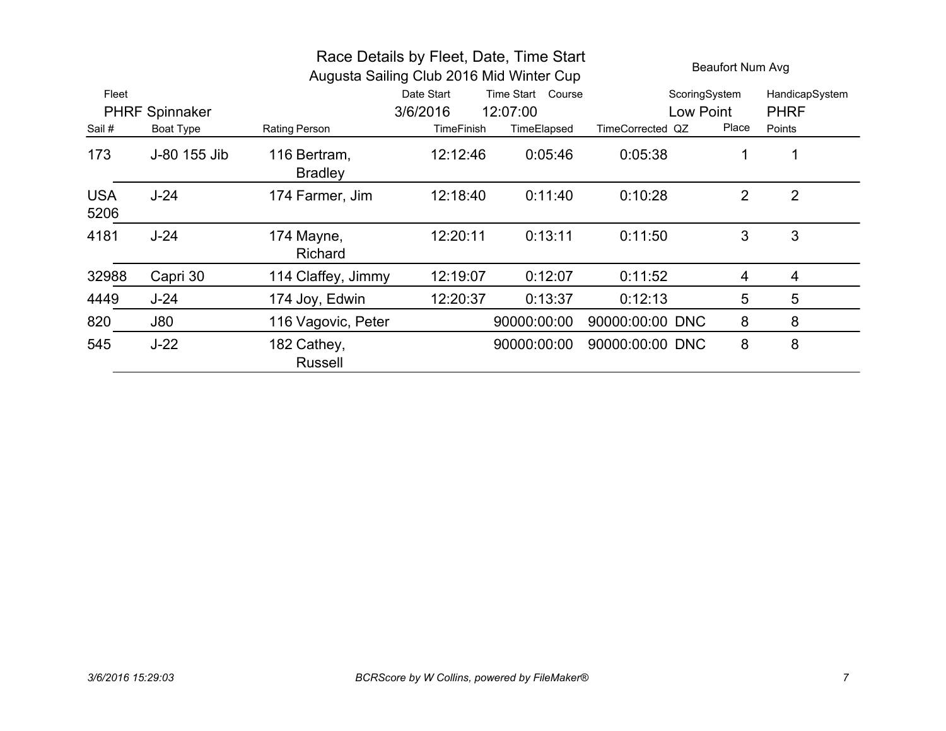| Race Details by Fleet, Date, Time Start<br>Augusta Sailing Club 2016 Mid Winter Cup |                       |                                |                   |                   |                  |       | Beaufort Num Avg |  |
|-------------------------------------------------------------------------------------|-----------------------|--------------------------------|-------------------|-------------------|------------------|-------|------------------|--|
| Fleet                                                                               |                       |                                | Date Start        | Time Start Course | ScoringSystem    |       | HandicapSystem   |  |
|                                                                                     | <b>PHRF Spinnaker</b> |                                | 3/6/2016          | 12:07:00          | Low Point        |       | <b>PHRF</b>      |  |
| Sail #                                                                              | Boat Type             | Rating Person                  | <b>TimeFinish</b> | TimeElapsed       | TimeCorrected QZ | Place | Points           |  |
| 173                                                                                 | J-80 155 Jib          | 116 Bertram,<br><b>Bradley</b> | 12:12:46          | 0:05:46           | 0:05:38          |       |                  |  |
| <b>USA</b><br>5206                                                                  | $J-24$                | 174 Farmer, Jim                | 12:18:40          | 0:11:40           | 0:10:28          | 2     | $\overline{2}$   |  |
| 4181                                                                                | $J-24$                | 174 Mayne,<br><b>Richard</b>   | 12:20:11          | 0:13:11           | 0:11:50          | 3     | 3                |  |
| 32988                                                                               | Capri 30              | 114 Claffey, Jimmy             | 12:19:07          | 0:12:07           | 0:11:52          | 4     | 4                |  |
| 4449                                                                                | $J-24$                | 174 Joy, Edwin                 | 12:20:37          | 0:13:37           | 0:12:13          | 5     | 5                |  |
| 820                                                                                 | <b>J80</b>            | 116 Vagovic, Peter             |                   | 90000:00:00       | 90000:00:00 DNC  | 8     | 8                |  |
| 545                                                                                 | $J-22$                | 182 Cathey,<br><b>Russell</b>  |                   | 90000:00:00       | 90000:00:00 DNC  | 8     | 8                |  |